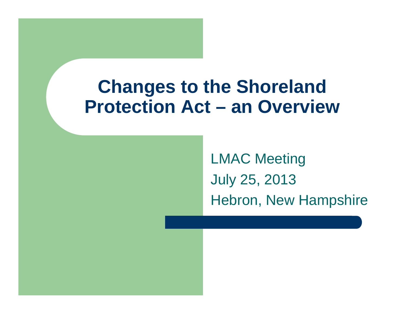#### **Changes to the Shoreland Protection Act – an Overview**

LMAC Meeting July 25, 2013 Hebron, New Hampshire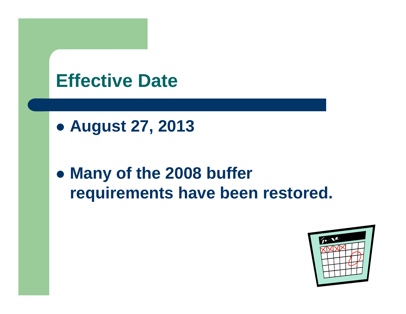#### **Effective Date**

z **August 27, 2013**

#### **• Many of the 2008 buffer requirements have been restored.**

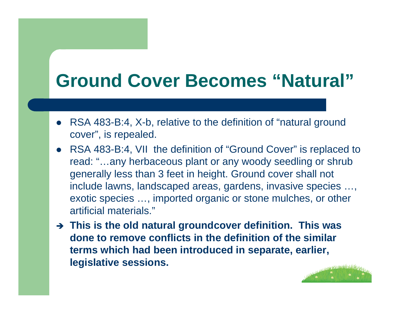## **Ground Cover Becomes "Natural"**

- $\bullet$  RSA 483-B:4, X-b, relative to the definition of "natural ground cover", is repealed.
- $\bullet$  RSA 483-B:4, VII the definition of "Ground Cover" is replaced to read: "…any herbaceous plant or any woody seedling or shrub generally less than 3 feet in height. Ground cover shall not include lawns, landscaped areas, gardens, invasive species …, exotic species …, imported organic or stone mulches, or other artificial materials."
- **→ This is the old natural groundcover definition. This was done to remove conflicts in the definition of the similar terms which had been introduced in separate, earlier, legislative sessions.**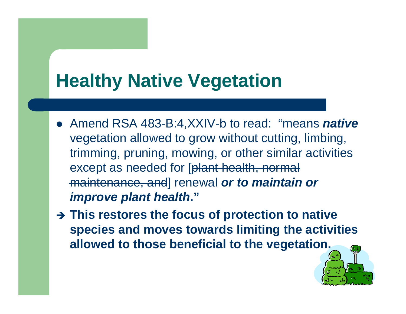## **Healthy Native Vegetation**

- Amend RSA 483-B:4,XXIV-b to read: "means *native* vegetation allowed to grow without cutting, limbing, trimming, pruning, mowing, or other similar activities except as needed for [plant health, normal maintenance, and] renewal *or to maintain or improve plant health***."**
- **→ This restores the focus of protection to native species and moves towards limiting the activities allowed to those beneficial to the vegetation.**

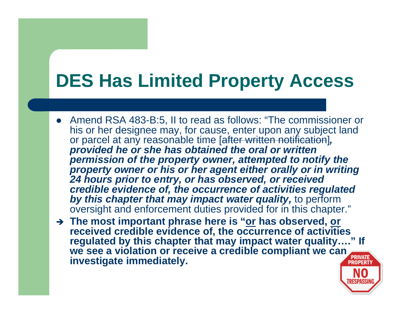# **DES Has Limited Property Access**

- $\bullet$  Amend RSA 483-B:5, II to read as follows: "The commissioner or his or her designee may, for cause, enter upon any subject land or parcel at any reasonable time [after written notification]*, provided he or she has obtained the oral or written permission of the property owner, attempted to notify the property owner or his or her agent either orally or in writing 24 hours prior to entry, or has observed, or received credible evidence of, the occurrence of activities regulated by this chapter that may impact water quality,* to perform oversight and enforcement duties provided for in this chapter."
- Î **The most important phrase here is "or has observed, or received credible evidence of, the occurrence of activities regulated by this chapter that may impact water quality…." If we see a violation or receive a credible compliant we can investigate immediately.**

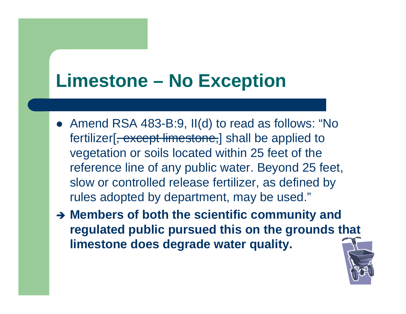## **Limestone – No Exception**

- Amend RSA 483-B:9, II(d) to read as follows: "No fertilizer<sup>[, except limestone,]</sup> shall be applied to vegetation or soils located within 25 feet of the reference line of any public water. Beyond 25 feet, slow or controlled release fertilizer, as defined by rules adopted by department, may be used."
- **→ Members of both the scientific community and regulated public pursued this on the grounds that limestone does degrade water quality.**

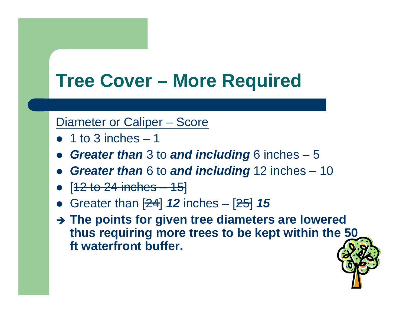### **Tree Cover – More Required**

#### Diameter or Caliper – Score

- $\bullet$  1 to 3 inches  $-1$
- $\bullet$ *Greater than* 3 to *and including* 6 inches – 5
- $\bullet$ *Greater than* 6 to *and including* 12 inches – 10
- $\bullet$  $[12$  to 24 inches  $-15]$
- $\bullet$ Greater than [24] *12* inches – [25] *15*
- $\rightarrow$  The points for given tree diameters are lowered **thus requiring more trees to be kept within the 50 ft waterfront buffer.**

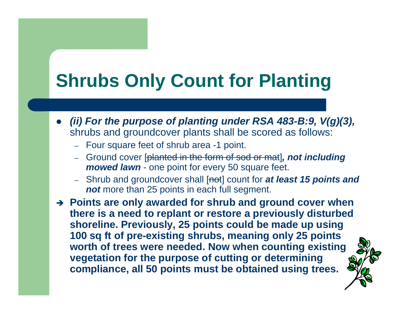# **Shrubs Only Count for Planting**

- $\bullet$  *(ii) For the purpose of planting under RSA 483-B:9, V(g)(3),*  shrubs and groundcover plants shall be scored as follows:
	- Four square feet of shrub area -1 point.
	- Ground cover [planted in the form of sod or mat]*, not including mowed lawn* - one point for every 50 square feet.
	- Shrub and groundcover shall [not] count for *at least 15 points and not* more than 25 points in each full segment.

**→ Points are only awarded for shrub and ground cover when there is a need to replant or restore a previously disturbed shoreline. Previously, 25 points could be made up using 100 sq ft of pre-existing shrubs, meaning only 25 points worth of trees were needed. Now when counting existing vegetation for the purpose of cutting or determining compliance, all 50 points must be obtained using trees.**